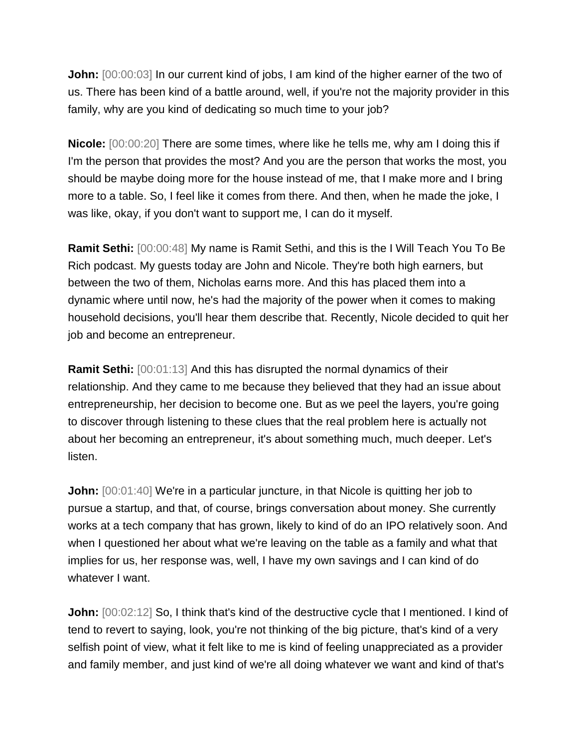**John:**  $[00:00:03]$  In our current kind of jobs, I am kind of the higher earner of the two of us. There has been kind of a battle around, well, if you're not the majority provider in this family, why are you kind of dedicating so much time to your job?

**Nicole:** [00:00:20] There are some times, where like he tells me, why am I doing this if I'm the person that provides the most? And you are the person that works the most, you should be maybe doing more for the house instead of me, that I make more and I bring more to a table. So, I feel like it comes from there. And then, when he made the joke, I was like, okay, if you don't want to support me, I can do it myself.

**Ramit Sethi:** [00:00:48] My name is Ramit Sethi, and this is the I Will Teach You To Be Rich podcast. My guests today are John and Nicole. They're both high earners, but between the two of them, Nicholas earns more. And this has placed them into a dynamic where until now, he's had the majority of the power when it comes to making household decisions, you'll hear them describe that. Recently, Nicole decided to quit her job and become an entrepreneur.

**Ramit Sethi:**  $[00:01:13]$  And this has disrupted the normal dynamics of their relationship. And they came to me because they believed that they had an issue about entrepreneurship, her decision to become one. But as we peel the layers, you're going to discover through listening to these clues that the real problem here is actually not about her becoming an entrepreneur, it's about something much, much deeper. Let's listen.

**John:**  $[00:01:40]$  We're in a particular juncture, in that Nicole is quitting her job to pursue a startup, and that, of course, brings conversation about money. She currently works at a tech company that has grown, likely to kind of do an IPO relatively soon. And when I questioned her about what we're leaving on the table as a family and what that implies for us, her response was, well, I have my own savings and I can kind of do whatever I want.

**John:**  $[00:02:12]$  So, I think that's kind of the destructive cycle that I mentioned. I kind of tend to revert to saying, look, you're not thinking of the big picture, that's kind of a very selfish point of view, what it felt like to me is kind of feeling unappreciated as a provider and family member, and just kind of we're all doing whatever we want and kind of that's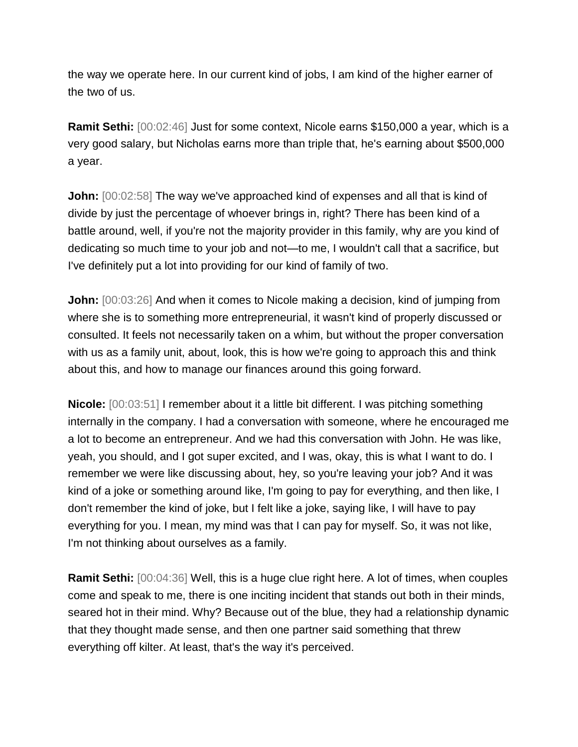the way we operate here. In our current kind of jobs, I am kind of the higher earner of the two of us.

**Ramit Sethi:** [00:02:46] Just for some context, Nicole earns \$150,000 a year, which is a very good salary, but Nicholas earns more than triple that, he's earning about \$500,000 a year.

**John:** [00:02:58] The way we've approached kind of expenses and all that is kind of divide by just the percentage of whoever brings in, right? There has been kind of a battle around, well, if you're not the majority provider in this family, why are you kind of dedicating so much time to your job and not—to me, I wouldn't call that a sacrifice, but I've definitely put a lot into providing for our kind of family of two.

**John:**  $[00:03:26]$  And when it comes to Nicole making a decision, kind of jumping from where she is to something more entrepreneurial, it wasn't kind of properly discussed or consulted. It feels not necessarily taken on a whim, but without the proper conversation with us as a family unit, about, look, this is how we're going to approach this and think about this, and how to manage our finances around this going forward.

**Nicole:** [00:03:51] I remember about it a little bit different. I was pitching something internally in the company. I had a conversation with someone, where he encouraged me a lot to become an entrepreneur. And we had this conversation with John. He was like, yeah, you should, and I got super excited, and I was, okay, this is what I want to do. I remember we were like discussing about, hey, so you're leaving your job? And it was kind of a joke or something around like, I'm going to pay for everything, and then like, I don't remember the kind of joke, but I felt like a joke, saying like, I will have to pay everything for you. I mean, my mind was that I can pay for myself. So, it was not like, I'm not thinking about ourselves as a family.

**Ramit Sethi:** [00:04:36] Well, this is a huge clue right here. A lot of times, when couples come and speak to me, there is one inciting incident that stands out both in their minds, seared hot in their mind. Why? Because out of the blue, they had a relationship dynamic that they thought made sense, and then one partner said something that threw everything off kilter. At least, that's the way it's perceived.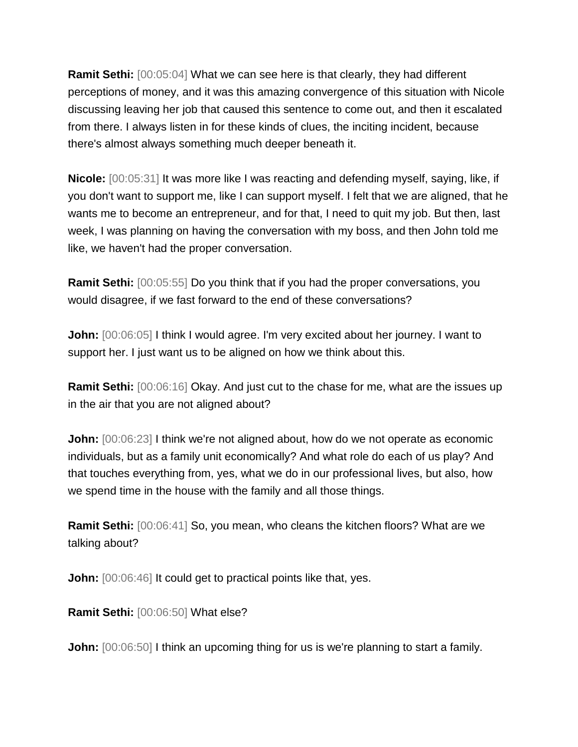**Ramit Sethi:** [00:05:04] What we can see here is that clearly, they had different perceptions of money, and it was this amazing convergence of this situation with Nicole discussing leaving her job that caused this sentence to come out, and then it escalated from there. I always listen in for these kinds of clues, the inciting incident, because there's almost always something much deeper beneath it.

**Nicole:** [00:05:31] It was more like I was reacting and defending myself, saying, like, if you don't want to support me, like I can support myself. I felt that we are aligned, that he wants me to become an entrepreneur, and for that, I need to quit my job. But then, last week, I was planning on having the conversation with my boss, and then John told me like, we haven't had the proper conversation.

**Ramit Sethi:** [00:05:55] Do you think that if you had the proper conversations, you would disagree, if we fast forward to the end of these conversations?

**John:**  $[00:06:05]$  I think I would agree. I'm very excited about her journey. I want to support her. I just want us to be aligned on how we think about this.

**Ramit Sethi:** [00:06:16] Okay. And just cut to the chase for me, what are the issues up in the air that you are not aligned about?

**John:**  $[00:06:23]$  I think we're not aligned about, how do we not operate as economic individuals, but as a family unit economically? And what role do each of us play? And that touches everything from, yes, what we do in our professional lives, but also, how we spend time in the house with the family and all those things.

**Ramit Sethi:** [00:06:41] So, you mean, who cleans the kitchen floors? What are we talking about?

**John:**  $[00:06:46]$  It could get to practical points like that, yes.

**Ramit Sethi:** [00:06:50] What else?

**John:** [00:06:50] I think an upcoming thing for us is we're planning to start a family.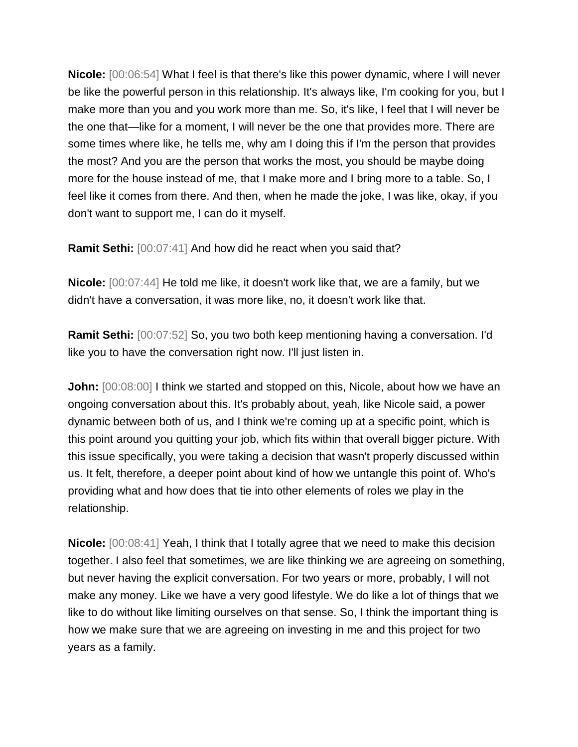**Nicole:** [00:06:54] What I feel is that there's like this power dynamic, where I will never be like the powerful person in this relationship. It's always like, I'm cooking for you, but I make more than you and you work more than me. So, it's like, I feel that I will never be the one that—like for a moment, I will never be the one that provides more. There are some times where like, he tells me, why am I doing this if I'm the person that provides the most? And you are the person that works the most, you should be maybe doing more for the house instead of me, that I make more and I bring more to a table. So, I feel like it comes from there. And then, when he made the joke, I was like, okay, if you don't want to support me, I can do it myself.

**Ramit Sethi:** [00:07:41] And how did he react when you said that?

**Nicole:** [00:07:44] He told me like, it doesn't work like that, we are a family, but we didn't have a conversation, it was more like, no, it doesn't work like that.

**Ramit Sethi:** [00:07:52] So, you two both keep mentioning having a conversation. I'd like you to have the conversation right now. I'll just listen in.

**John:**  $[00:08:00]$  I think we started and stopped on this, Nicole, about how we have an ongoing conversation about this. It's probably about, yeah, like Nicole said, a power dynamic between both of us, and I think we're coming up at a specific point, which is this point around you quitting your job, which fits within that overall bigger picture. With this issue specifically, you were taking a decision that wasn't properly discussed within us. It felt, therefore, a deeper point about kind of how we untangle this point of. Who's providing what and how does that tie into other elements of roles we play in the relationship.

**Nicole:** [00:08:41] Yeah, I think that I totally agree that we need to make this decision together. I also feel that sometimes, we are like thinking we are agreeing on something, but never having the explicit conversation. For two years or more, probably, I will not make any money. Like we have a very good lifestyle. We do like a lot of things that we like to do without like limiting ourselves on that sense. So, I think the important thing is how we make sure that we are agreeing on investing in me and this project for two years as a family.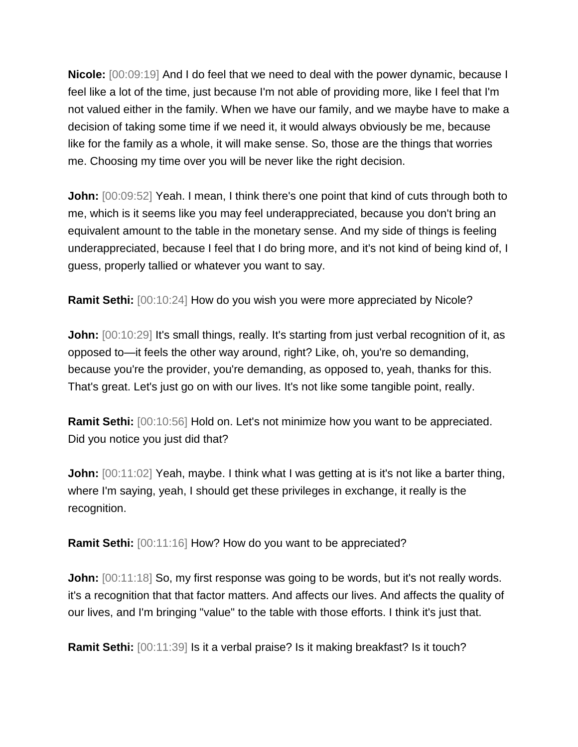**Nicole:** [00:09:19] And I do feel that we need to deal with the power dynamic, because I feel like a lot of the time, just because I'm not able of providing more, like I feel that I'm not valued either in the family. When we have our family, and we maybe have to make a decision of taking some time if we need it, it would always obviously be me, because like for the family as a whole, it will make sense. So, those are the things that worries me. Choosing my time over you will be never like the right decision.

**John:**  $[00:09:52]$  Yeah. I mean, I think there's one point that kind of cuts through both to me, which is it seems like you may feel underappreciated, because you don't bring an equivalent amount to the table in the monetary sense. And my side of things is feeling underappreciated, because I feel that I do bring more, and it's not kind of being kind of, I guess, properly tallied or whatever you want to say.

**Ramit Sethi:** [00:10:24] How do you wish you were more appreciated by Nicole?

**John:**  $[00:10:29]$  It's small things, really. It's starting from just verbal recognition of it, as opposed to—it feels the other way around, right? Like, oh, you're so demanding, because you're the provider, you're demanding, as opposed to, yeah, thanks for this. That's great. Let's just go on with our lives. It's not like some tangible point, really.

**Ramit Sethi:** [00:10:56] Hold on. Let's not minimize how you want to be appreciated. Did you notice you just did that?

**John:**  $[00:11:02]$  Yeah, maybe. I think what I was getting at is it's not like a barter thing, where I'm saying, yeah, I should get these privileges in exchange, it really is the recognition.

**Ramit Sethi:** [00:11:16] How? How do you want to be appreciated?

**John:**  $[00:11:18]$  So, my first response was going to be words, but it's not really words. it's a recognition that that factor matters. And affects our lives. And affects the quality of our lives, and I'm bringing "value" to the table with those efforts. I think it's just that.

**Ramit Sethi:** [00:11:39] Is it a verbal praise? Is it making breakfast? Is it touch?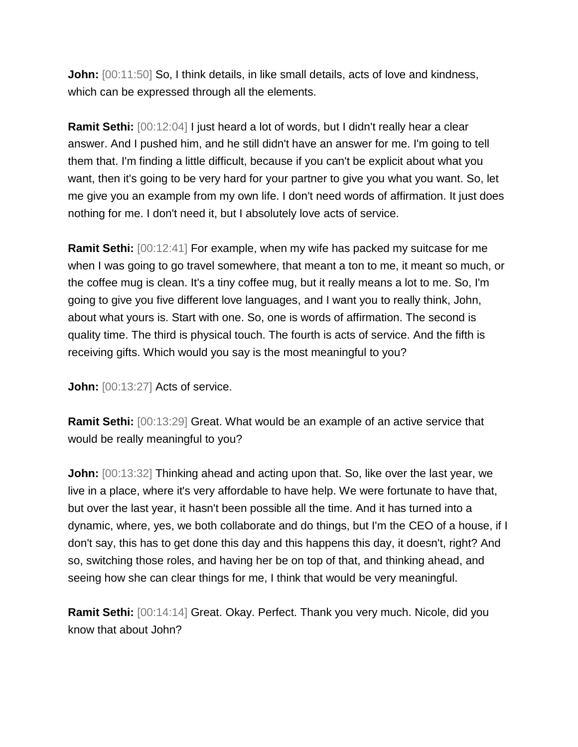**John:**  $[00:11:50]$  So, I think details, in like small details, acts of love and kindness, which can be expressed through all the elements.

**Ramit Sethi:** [00:12:04] I just heard a lot of words, but I didn't really hear a clear answer. And I pushed him, and he still didn't have an answer for me. I'm going to tell them that. I'm finding a little difficult, because if you can't be explicit about what you want, then it's going to be very hard for your partner to give you what you want. So, let me give you an example from my own life. I don't need words of affirmation. It just does nothing for me. I don't need it, but I absolutely love acts of service.

**Ramit Sethi:** [00:12:41] For example, when my wife has packed my suitcase for me when I was going to go travel somewhere, that meant a ton to me, it meant so much, or the coffee mug is clean. It's a tiny coffee mug, but it really means a lot to me. So, I'm going to give you five different love languages, and I want you to really think, John, about what yours is. Start with one. So, one is words of affirmation. The second is quality time. The third is physical touch. The fourth is acts of service. And the fifth is receiving gifts. Which would you say is the most meaningful to you?

**John:** [00:13:27] Acts of service.

**Ramit Sethi:** [00:13:29] Great. What would be an example of an active service that would be really meaningful to you?

**John:** [00:13:32] Thinking ahead and acting upon that. So, like over the last year, we live in a place, where it's very affordable to have help. We were fortunate to have that, but over the last year, it hasn't been possible all the time. And it has turned into a dynamic, where, yes, we both collaborate and do things, but I'm the CEO of a house, if I don't say, this has to get done this day and this happens this day, it doesn't, right? And so, switching those roles, and having her be on top of that, and thinking ahead, and seeing how she can clear things for me, I think that would be very meaningful.

**Ramit Sethi:** [00:14:14] Great. Okay. Perfect. Thank you very much. Nicole, did you know that about John?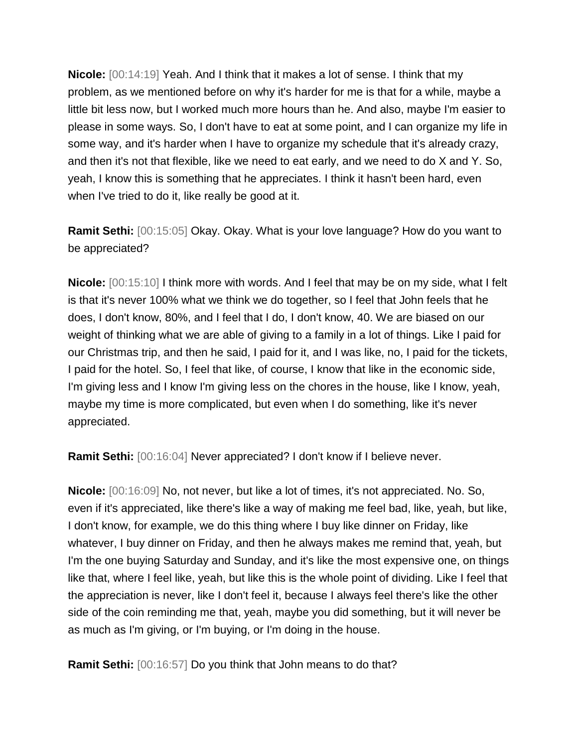**Nicole:** [00:14:19] Yeah. And I think that it makes a lot of sense. I think that my problem, as we mentioned before on why it's harder for me is that for a while, maybe a little bit less now, but I worked much more hours than he. And also, maybe I'm easier to please in some ways. So, I don't have to eat at some point, and I can organize my life in some way, and it's harder when I have to organize my schedule that it's already crazy, and then it's not that flexible, like we need to eat early, and we need to do X and Y. So, yeah, I know this is something that he appreciates. I think it hasn't been hard, even when I've tried to do it, like really be good at it.

**Ramit Sethi:** [00:15:05] Okay. Okay. What is your love language? How do you want to be appreciated?

**Nicole:** [00:15:10] I think more with words. And I feel that may be on my side, what I felt is that it's never 100% what we think we do together, so I feel that John feels that he does, I don't know, 80%, and I feel that I do, I don't know, 40. We are biased on our weight of thinking what we are able of giving to a family in a lot of things. Like I paid for our Christmas trip, and then he said, I paid for it, and I was like, no, I paid for the tickets, I paid for the hotel. So, I feel that like, of course, I know that like in the economic side, I'm giving less and I know I'm giving less on the chores in the house, like I know, yeah, maybe my time is more complicated, but even when I do something, like it's never appreciated.

**Ramit Sethi:** [00:16:04] Never appreciated? I don't know if I believe never.

**Nicole:** [00:16:09] No, not never, but like a lot of times, it's not appreciated. No. So, even if it's appreciated, like there's like a way of making me feel bad, like, yeah, but like, I don't know, for example, we do this thing where I buy like dinner on Friday, like whatever, I buy dinner on Friday, and then he always makes me remind that, yeah, but I'm the one buying Saturday and Sunday, and it's like the most expensive one, on things like that, where I feel like, yeah, but like this is the whole point of dividing. Like I feel that the appreciation is never, like I don't feel it, because I always feel there's like the other side of the coin reminding me that, yeah, maybe you did something, but it will never be as much as I'm giving, or I'm buying, or I'm doing in the house.

**Ramit Sethi:** [00:16:57] Do you think that John means to do that?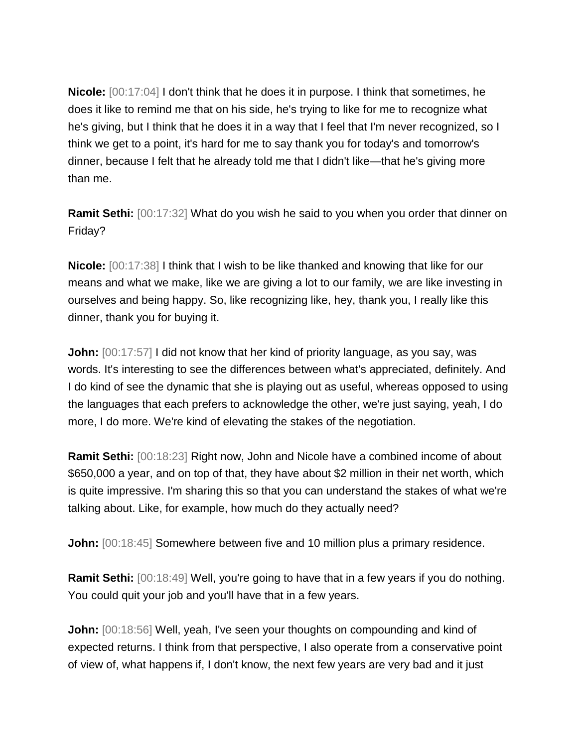**Nicole:** [00:17:04] I don't think that he does it in purpose. I think that sometimes, he does it like to remind me that on his side, he's trying to like for me to recognize what he's giving, but I think that he does it in a way that I feel that I'm never recognized, so I think we get to a point, it's hard for me to say thank you for today's and tomorrow's dinner, because I felt that he already told me that I didn't like—that he's giving more than me.

**Ramit Sethi:** [00:17:32] What do you wish he said to you when you order that dinner on Friday?

**Nicole:** [00:17:38] I think that I wish to be like thanked and knowing that like for our means and what we make, like we are giving a lot to our family, we are like investing in ourselves and being happy. So, like recognizing like, hey, thank you, I really like this dinner, thank you for buying it.

**John:**  $[00:17:57]$  I did not know that her kind of priority language, as you say, was words. It's interesting to see the differences between what's appreciated, definitely. And I do kind of see the dynamic that she is playing out as useful, whereas opposed to using the languages that each prefers to acknowledge the other, we're just saying, yeah, I do more, I do more. We're kind of elevating the stakes of the negotiation.

**Ramit Sethi:** [00:18:23] Right now, John and Nicole have a combined income of about \$650,000 a year, and on top of that, they have about \$2 million in their net worth, which is quite impressive. I'm sharing this so that you can understand the stakes of what we're talking about. Like, for example, how much do they actually need?

**John:**  $[00:18:45]$  Somewhere between five and 10 million plus a primary residence.

**Ramit Sethi:** [00:18:49] Well, you're going to have that in a few years if you do nothing. You could quit your job and you'll have that in a few years.

**John:** [00:18:56] Well, yeah, I've seen your thoughts on compounding and kind of expected returns. I think from that perspective, I also operate from a conservative point of view of, what happens if, I don't know, the next few years are very bad and it just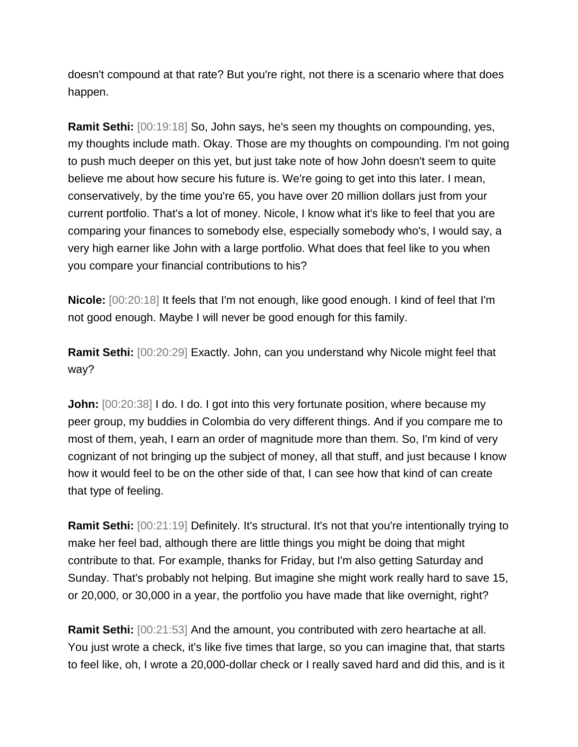doesn't compound at that rate? But you're right, not there is a scenario where that does happen.

**Ramit Sethi:** [00:19:18] So, John says, he's seen my thoughts on compounding, yes, my thoughts include math. Okay. Those are my thoughts on compounding. I'm not going to push much deeper on this yet, but just take note of how John doesn't seem to quite believe me about how secure his future is. We're going to get into this later. I mean, conservatively, by the time you're 65, you have over 20 million dollars just from your current portfolio. That's a lot of money. Nicole, I know what it's like to feel that you are comparing your finances to somebody else, especially somebody who's, I would say, a very high earner like John with a large portfolio. What does that feel like to you when you compare your financial contributions to his?

**Nicole:** [00:20:18] It feels that I'm not enough, like good enough. I kind of feel that I'm not good enough. Maybe I will never be good enough for this family.

**Ramit Sethi:** [00:20:29] Exactly. John, can you understand why Nicole might feel that way?

**John:**  $[00:20:38]$  I do. I do. I got into this very fortunate position, where because my peer group, my buddies in Colombia do very different things. And if you compare me to most of them, yeah, I earn an order of magnitude more than them. So, I'm kind of very cognizant of not bringing up the subject of money, all that stuff, and just because I know how it would feel to be on the other side of that, I can see how that kind of can create that type of feeling.

**Ramit Sethi:** [00:21:19] Definitely. It's structural. It's not that you're intentionally trying to make her feel bad, although there are little things you might be doing that might contribute to that. For example, thanks for Friday, but I'm also getting Saturday and Sunday. That's probably not helping. But imagine she might work really hard to save 15, or 20,000, or 30,000 in a year, the portfolio you have made that like overnight, right?

**Ramit Sethi:** [00:21:53] And the amount, you contributed with zero heartache at all. You just wrote a check, it's like five times that large, so you can imagine that, that starts to feel like, oh, I wrote a 20,000-dollar check or I really saved hard and did this, and is it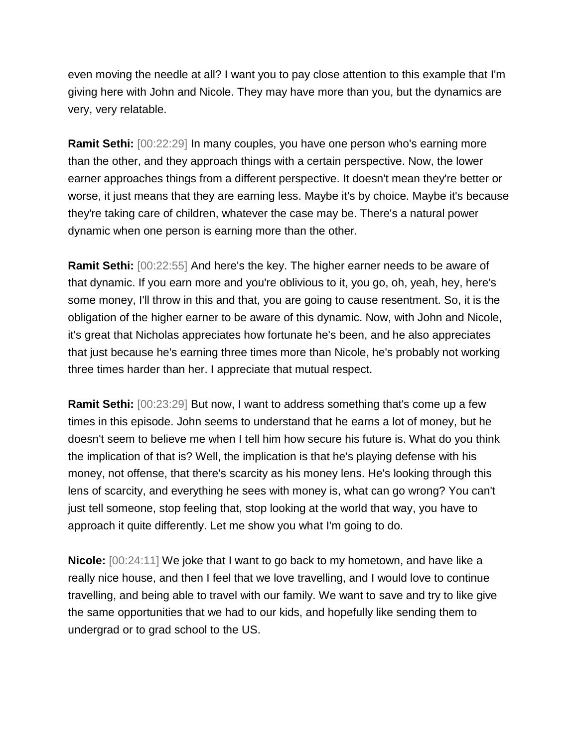even moving the needle at all? I want you to pay close attention to this example that I'm giving here with John and Nicole. They may have more than you, but the dynamics are very, very relatable.

**Ramit Sethi:** [00:22:29] In many couples, you have one person who's earning more than the other, and they approach things with a certain perspective. Now, the lower earner approaches things from a different perspective. It doesn't mean they're better or worse, it just means that they are earning less. Maybe it's by choice. Maybe it's because they're taking care of children, whatever the case may be. There's a natural power dynamic when one person is earning more than the other.

**Ramit Sethi:** [00:22:55] And here's the key. The higher earner needs to be aware of that dynamic. If you earn more and you're oblivious to it, you go, oh, yeah, hey, here's some money, I'll throw in this and that, you are going to cause resentment. So, it is the obligation of the higher earner to be aware of this dynamic. Now, with John and Nicole, it's great that Nicholas appreciates how fortunate he's been, and he also appreciates that just because he's earning three times more than Nicole, he's probably not working three times harder than her. I appreciate that mutual respect.

**Ramit Sethi:** [00:23:29] But now, I want to address something that's come up a few times in this episode. John seems to understand that he earns a lot of money, but he doesn't seem to believe me when I tell him how secure his future is. What do you think the implication of that is? Well, the implication is that he's playing defense with his money, not offense, that there's scarcity as his money lens. He's looking through this lens of scarcity, and everything he sees with money is, what can go wrong? You can't just tell someone, stop feeling that, stop looking at the world that way, you have to approach it quite differently. Let me show you what I'm going to do.

**Nicole:** [00:24:11] We joke that I want to go back to my hometown, and have like a really nice house, and then I feel that we love travelling, and I would love to continue travelling, and being able to travel with our family. We want to save and try to like give the same opportunities that we had to our kids, and hopefully like sending them to undergrad or to grad school to the US.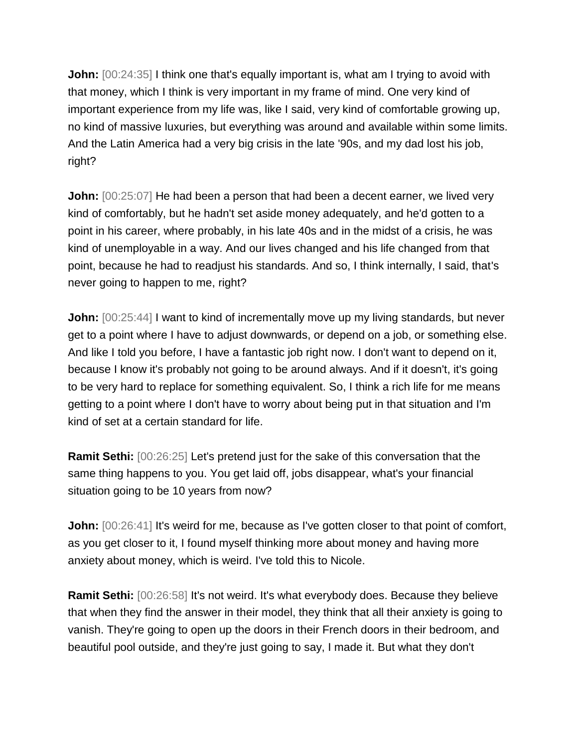**John:**  $[00:24:35]$  I think one that's equally important is, what am I trying to avoid with that money, which I think is very important in my frame of mind. One very kind of important experience from my life was, like I said, very kind of comfortable growing up, no kind of massive luxuries, but everything was around and available within some limits. And the Latin America had a very big crisis in the late '90s, and my dad lost his job, right?

**John:**  $[00:25:07]$  He had been a person that had been a decent earner, we lived very kind of comfortably, but he hadn't set aside money adequately, and he'd gotten to a point in his career, where probably, in his late 40s and in the midst of a crisis, he was kind of unemployable in a way. And our lives changed and his life changed from that point, because he had to readjust his standards. And so, I think internally, I said, that's never going to happen to me, right?

**John:**  $[00:25:44]$  I want to kind of incrementally move up my living standards, but never get to a point where I have to adjust downwards, or depend on a job, or something else. And like I told you before, I have a fantastic job right now. I don't want to depend on it, because I know it's probably not going to be around always. And if it doesn't, it's going to be very hard to replace for something equivalent. So, I think a rich life for me means getting to a point where I don't have to worry about being put in that situation and I'm kind of set at a certain standard for life.

**Ramit Sethi:** [00:26:25] Let's pretend just for the sake of this conversation that the same thing happens to you. You get laid off, jobs disappear, what's your financial situation going to be 10 years from now?

**John:**  $[00:26:41]$  It's weird for me, because as I've gotten closer to that point of comfort, as you get closer to it, I found myself thinking more about money and having more anxiety about money, which is weird. I've told this to Nicole.

**Ramit Sethi:**  $[00:26:58]$  It's not weird. It's what everybody does. Because they believe that when they find the answer in their model, they think that all their anxiety is going to vanish. They're going to open up the doors in their French doors in their bedroom, and beautiful pool outside, and they're just going to say, I made it. But what they don't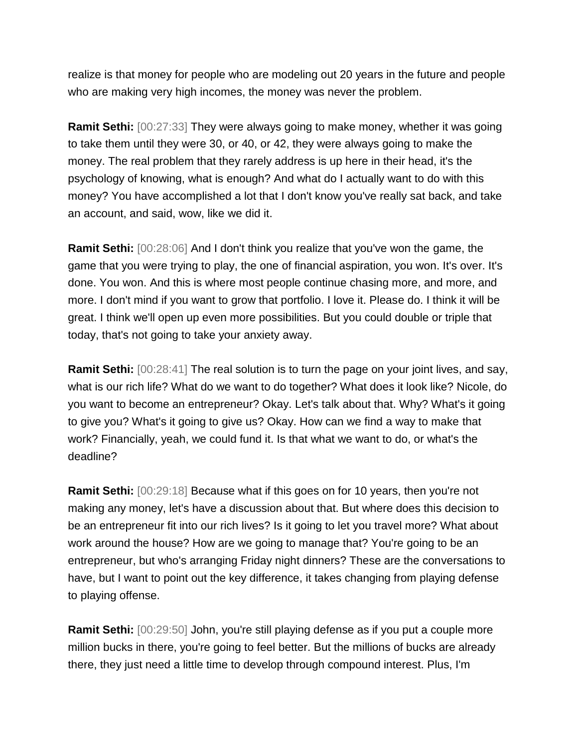realize is that money for people who are modeling out 20 years in the future and people who are making very high incomes, the money was never the problem.

**Ramit Sethi:** [00:27:33] They were always going to make money, whether it was going to take them until they were 30, or 40, or 42, they were always going to make the money. The real problem that they rarely address is up here in their head, it's the psychology of knowing, what is enough? And what do I actually want to do with this money? You have accomplished a lot that I don't know you've really sat back, and take an account, and said, wow, like we did it.

**Ramit Sethi:** [00:28:06] And I don't think you realize that you've won the game, the game that you were trying to play, the one of financial aspiration, you won. It's over. It's done. You won. And this is where most people continue chasing more, and more, and more. I don't mind if you want to grow that portfolio. I love it. Please do. I think it will be great. I think we'll open up even more possibilities. But you could double or triple that today, that's not going to take your anxiety away.

**Ramit Sethi:**  $[00:28:41]$  The real solution is to turn the page on your joint lives, and say, what is our rich life? What do we want to do together? What does it look like? Nicole, do you want to become an entrepreneur? Okay. Let's talk about that. Why? What's it going to give you? What's it going to give us? Okay. How can we find a way to make that work? Financially, yeah, we could fund it. Is that what we want to do, or what's the deadline?

**Ramit Sethi:** [00:29:18] Because what if this goes on for 10 years, then you're not making any money, let's have a discussion about that. But where does this decision to be an entrepreneur fit into our rich lives? Is it going to let you travel more? What about work around the house? How are we going to manage that? You're going to be an entrepreneur, but who's arranging Friday night dinners? These are the conversations to have, but I want to point out the key difference, it takes changing from playing defense to playing offense.

**Ramit Sethi:** [00:29:50] John, you're still playing defense as if you put a couple more million bucks in there, you're going to feel better. But the millions of bucks are already there, they just need a little time to develop through compound interest. Plus, I'm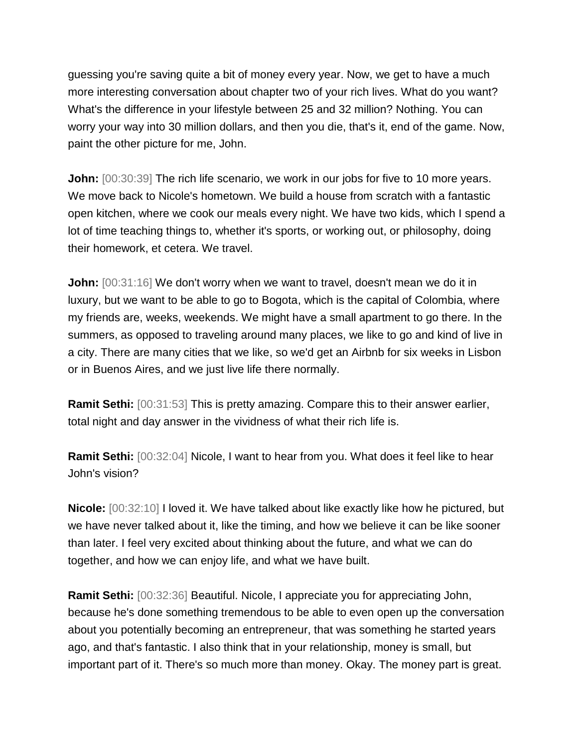guessing you're saving quite a bit of money every year. Now, we get to have a much more interesting conversation about chapter two of your rich lives. What do you want? What's the difference in your lifestyle between 25 and 32 million? Nothing. You can worry your way into 30 million dollars, and then you die, that's it, end of the game. Now, paint the other picture for me, John.

**John:**  $[00:30:39]$  The rich life scenario, we work in our jobs for five to 10 more years. We move back to Nicole's hometown. We build a house from scratch with a fantastic open kitchen, where we cook our meals every night. We have two kids, which I spend a lot of time teaching things to, whether it's sports, or working out, or philosophy, doing their homework, et cetera. We travel.

**John:**  $[00:31:16]$  We don't worry when we want to travel, doesn't mean we do it in luxury, but we want to be able to go to Bogota, which is the capital of Colombia, where my friends are, weeks, weekends. We might have a small apartment to go there. In the summers, as opposed to traveling around many places, we like to go and kind of live in a city. There are many cities that we like, so we'd get an Airbnb for six weeks in Lisbon or in Buenos Aires, and we just live life there normally.

**Ramit Sethi:** [00:31:53] This is pretty amazing. Compare this to their answer earlier, total night and day answer in the vividness of what their rich life is.

**Ramit Sethi:** [00:32:04] Nicole, I want to hear from you. What does it feel like to hear John's vision?

**Nicole:** [00:32:10] I loved it. We have talked about like exactly like how he pictured, but we have never talked about it, like the timing, and how we believe it can be like sooner than later. I feel very excited about thinking about the future, and what we can do together, and how we can enjoy life, and what we have built.

**Ramit Sethi:** [00:32:36] Beautiful. Nicole, I appreciate you for appreciating John, because he's done something tremendous to be able to even open up the conversation about you potentially becoming an entrepreneur, that was something he started years ago, and that's fantastic. I also think that in your relationship, money is small, but important part of it. There's so much more than money. Okay. The money part is great.